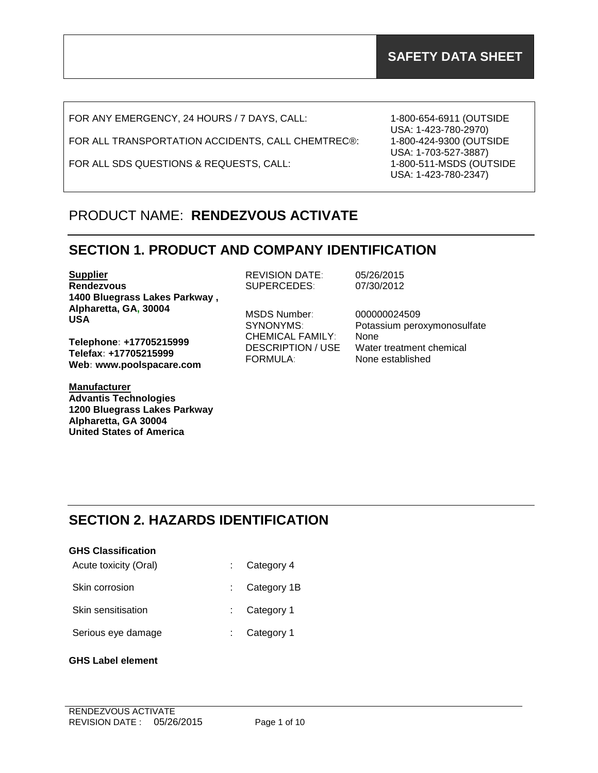FOR ANY EMERGENCY, 24 HOURS / 7 DAYS, CALL:

FOR ALL TRANSPORTATION ACCIDENTS, CALL CHEMTREC®:

FOR ALL SDS QUESTIONS & REQUESTS, CALL:

1-800-654-6911 (OUTSIDE USA: 1-423-780-2970) 1-800-424-9300 (OUTSIDE USA: 1-703-527-3887) 1-800-511-MSDS (OUTSIDE USA: 1-423-780-2347)

# PRODUCT NAME: **RENDEZVOUS ACTIVATE**

## **SECTION 1. PRODUCT AND COMPANY IDENTIFICATION**

**Supplier Rendezvous 1400 Bluegrass Lakes Parkway , Alpharetta, GA, 30004 USA**

**Telephone: +17705215999 Telefax: +17705215999 Web: www.poolspacare.com**

**Manufacturer Advantis Technologies 1200 Bluegrass Lakes Parkway Alpharetta, GA 30004 United States of America**

REVISION DATE: 05/26/2015 SUPERCEDES: 07/30/2012

MSDS Number: 000000024509 CHEMICAL FAMILY: None FORMULA: None established

SYNONYMS: Potassium peroxymonosulfate DESCRIPTION / USE Water treatment chemical

# **SECTION 2. HAZARDS IDENTIFICATION**

| <b>GHS Classification</b> |                          |  |  |
|---------------------------|--------------------------|--|--|
| Acute toxicity (Oral)     | $\therefore$ Category 4  |  |  |
| Skin corrosion            | $\therefore$ Category 1B |  |  |

Skin sensitisation : Category 1

Serious eye damage : Category 1

**GHS Label element**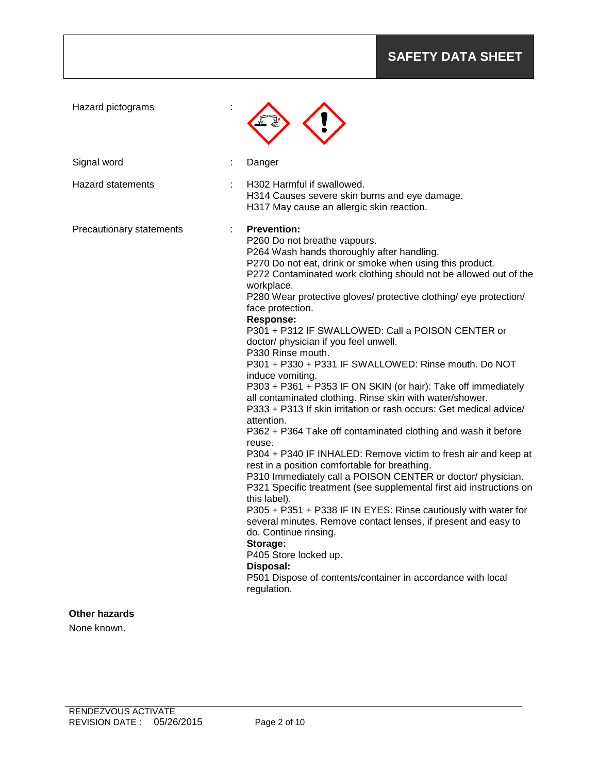# **SAFETY DATA SHEET**

| Hazard pictograms        |                                                                                                                                                                                                                                                                                                                                                                                                                                                                                                                                                                                                                                                                                                                                                                                                                                                                                                                                                                                                                                                                                                                                                                                                                                                                                                                                                                                                                              |
|--------------------------|------------------------------------------------------------------------------------------------------------------------------------------------------------------------------------------------------------------------------------------------------------------------------------------------------------------------------------------------------------------------------------------------------------------------------------------------------------------------------------------------------------------------------------------------------------------------------------------------------------------------------------------------------------------------------------------------------------------------------------------------------------------------------------------------------------------------------------------------------------------------------------------------------------------------------------------------------------------------------------------------------------------------------------------------------------------------------------------------------------------------------------------------------------------------------------------------------------------------------------------------------------------------------------------------------------------------------------------------------------------------------------------------------------------------------|
| Signal word              | Danger                                                                                                                                                                                                                                                                                                                                                                                                                                                                                                                                                                                                                                                                                                                                                                                                                                                                                                                                                                                                                                                                                                                                                                                                                                                                                                                                                                                                                       |
| <b>Hazard statements</b> | H302 Harmful if swallowed.<br>H314 Causes severe skin burns and eye damage.<br>H317 May cause an allergic skin reaction.                                                                                                                                                                                                                                                                                                                                                                                                                                                                                                                                                                                                                                                                                                                                                                                                                                                                                                                                                                                                                                                                                                                                                                                                                                                                                                     |
| Precautionary statements | <b>Prevention:</b><br>P260 Do not breathe vapours.<br>P264 Wash hands thoroughly after handling.<br>P270 Do not eat, drink or smoke when using this product.<br>P272 Contaminated work clothing should not be allowed out of the<br>workplace.<br>P280 Wear protective gloves/ protective clothing/ eye protection/<br>face protection.<br><b>Response:</b><br>P301 + P312 IF SWALLOWED: Call a POISON CENTER or<br>doctor/ physician if you feel unwell.<br>P330 Rinse mouth.<br>P301 + P330 + P331 IF SWALLOWED: Rinse mouth. Do NOT<br>induce vomiting.<br>P303 + P361 + P353 IF ON SKIN (or hair): Take off immediately<br>all contaminated clothing. Rinse skin with water/shower.<br>P333 + P313 If skin irritation or rash occurs: Get medical advice/<br>attention.<br>P362 + P364 Take off contaminated clothing and wash it before<br>reuse.<br>P304 + P340 IF INHALED: Remove victim to fresh air and keep at<br>rest in a position comfortable for breathing.<br>P310 Immediately call a POISON CENTER or doctor/ physician.<br>P321 Specific treatment (see supplemental first aid instructions on<br>this label).<br>P305 + P351 + P338 IF IN EYES: Rinse cautiously with water for<br>several minutes. Remove contact lenses, if present and easy to<br>do. Continue rinsing.<br>Storage:<br>P405 Store locked up.<br>Disposal:<br>P501 Dispose of contents/container in accordance with local<br>regulation. |
| Other hazards            |                                                                                                                                                                                                                                                                                                                                                                                                                                                                                                                                                                                                                                                                                                                                                                                                                                                                                                                                                                                                                                                                                                                                                                                                                                                                                                                                                                                                                              |

None known.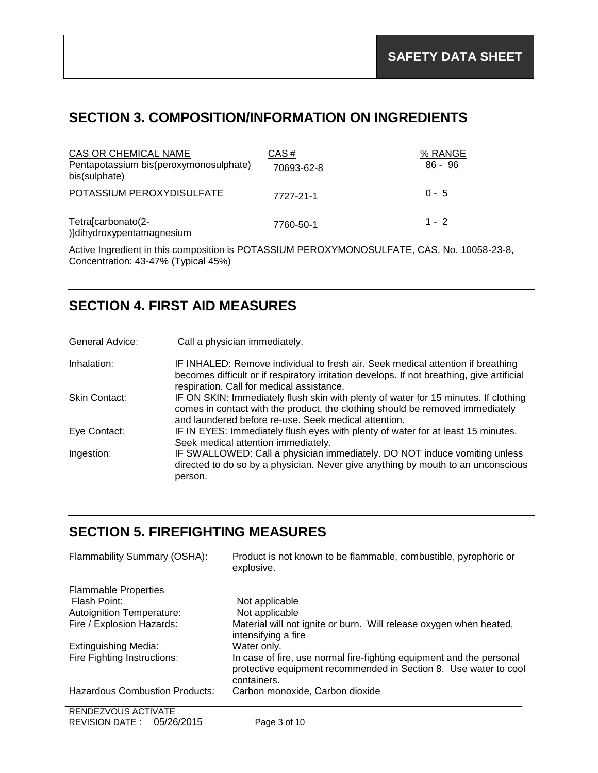# **SECTION 3. COMPOSITION/INFORMATION ON INGREDIENTS**

| CAS OR CHEMICAL NAME                                    | CAS#       | % RANGE |
|---------------------------------------------------------|------------|---------|
| Pentapotassium bis(peroxymonosulphate)<br>bis(sulphate) | 70693-62-8 | 86 - 96 |
| POTASSIUM PEROXYDISULFATE                               | 7727-21-1  | $0 - 5$ |
| Tetra[carbonato(2-<br>)]dihydroxypentamagnesium         | 7760-50-1  | $1 - 2$ |

Active Ingredient in this composition is POTASSIUM PEROXYMONOSULFATE, CAS. No. 10058-23-8, Concentration: 43-47% (Typical 45%)

# **SECTION 4. FIRST AID MEASURES**

| General Advice: | Call a physician immediately.                                                                                                                                                                                                |
|-----------------|------------------------------------------------------------------------------------------------------------------------------------------------------------------------------------------------------------------------------|
| Inhalation:     | IF INHALED: Remove individual to fresh air. Seek medical attention if breathing<br>becomes difficult or if respiratory irritation develops. If not breathing, give artificial<br>respiration. Call for medical assistance.   |
| Skin Contact:   | IF ON SKIN: Immediately flush skin with plenty of water for 15 minutes. If clothing<br>comes in contact with the product, the clothing should be removed immediately<br>and laundered before re-use. Seek medical attention. |
| Eye Contact:    | IF IN EYES: Immediately flush eyes with plenty of water for at least 15 minutes.<br>Seek medical attention immediately.                                                                                                      |
| Ingestion:      | IF SWALLOWED: Call a physician immediately. DO NOT induce vomiting unless<br>directed to do so by a physician. Never give anything by mouth to an unconscious<br>person.                                                     |

# **SECTION 5. FIREFIGHTING MEASURES**

| Flammability Summary (OSHA):          | Product is not known to be flammable, combustible, pyrophoric or<br>explosive.                                                                          |
|---------------------------------------|---------------------------------------------------------------------------------------------------------------------------------------------------------|
| <b>Flammable Properties</b>           |                                                                                                                                                         |
| Flash Point:                          | Not applicable                                                                                                                                          |
| <b>Autoignition Temperature:</b>      | Not applicable                                                                                                                                          |
| Fire / Explosion Hazards:             | Material will not ignite or burn. Will release oxygen when heated,<br>intensifying a fire                                                               |
| Extinguishing Media:                  | Water only.                                                                                                                                             |
| <b>Fire Fighting Instructions:</b>    | In case of fire, use normal fire-fighting equipment and the personal<br>protective equipment recommended in Section 8. Use water to cool<br>containers. |
| <b>Hazardous Combustion Products:</b> | Carbon monoxide, Carbon dioxide                                                                                                                         |
| RENDEZVOUS ACTIVATE                   |                                                                                                                                                         |
| REVISION DATE: 05/26/2015             | Page 3 of 10                                                                                                                                            |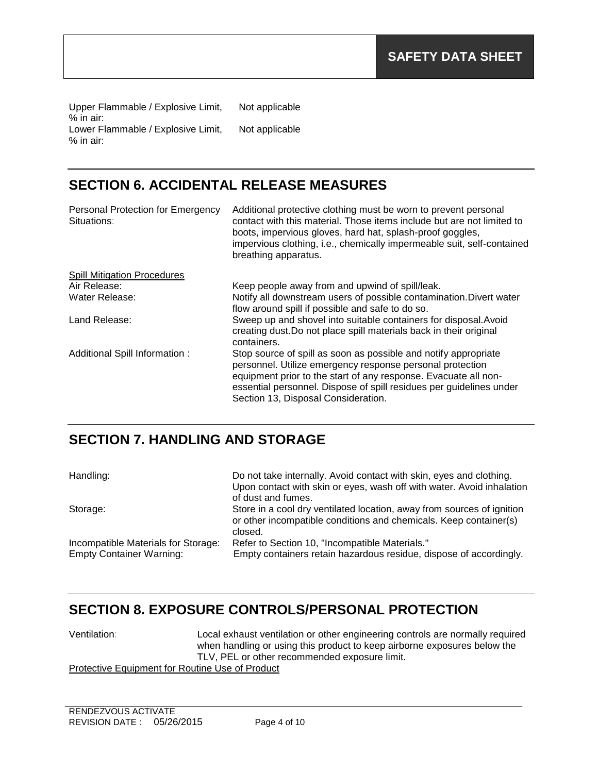Upper Flammable / Explosive Limit, % in air: Not applicable Lower Flammable / Explosive Limit, % in air: Not applicable

# **SECTION 6. ACCIDENTAL RELEASE MEASURES**

| Personal Protection for Emergency<br>Situations: | Additional protective clothing must be worn to prevent personal<br>contact with this material. Those items include but are not limited to<br>boots, impervious gloves, hard hat, splash-proof goggles,<br>impervious clothing, i.e., chemically impermeable suit, self-contained<br>breathing apparatus.      |
|--------------------------------------------------|---------------------------------------------------------------------------------------------------------------------------------------------------------------------------------------------------------------------------------------------------------------------------------------------------------------|
| <b>Spill Mitigation Procedures</b>               |                                                                                                                                                                                                                                                                                                               |
| Air Release:                                     | Keep people away from and upwind of spill/leak.                                                                                                                                                                                                                                                               |
| Water Release:                                   | Notify all downstream users of possible contamination. Divert water                                                                                                                                                                                                                                           |
|                                                  | flow around spill if possible and safe to do so.                                                                                                                                                                                                                                                              |
| Land Release:                                    | Sweep up and shovel into suitable containers for disposal. Avoid<br>creating dust. Do not place spill materials back in their original<br>containers.                                                                                                                                                         |
| Additional Spill Information:                    | Stop source of spill as soon as possible and notify appropriate<br>personnel. Utilize emergency response personal protection<br>equipment prior to the start of any response. Evacuate all non-<br>essential personnel. Dispose of spill residues per guidelines under<br>Section 13, Disposal Consideration. |

# **SECTION 7. HANDLING AND STORAGE**

| Handling:                                                              | Do not take internally. Avoid contact with skin, eyes and clothing.<br>Upon contact with skin or eyes, wash off with water. Avoid inhalation<br>of dust and fumes. |
|------------------------------------------------------------------------|--------------------------------------------------------------------------------------------------------------------------------------------------------------------|
| Storage:                                                               | Store in a cool dry ventilated location, away from sources of ignition<br>or other incompatible conditions and chemicals. Keep container(s)<br>closed.             |
| Incompatible Materials for Storage:<br><b>Empty Container Warning:</b> | Refer to Section 10, "Incompatible Materials."<br>Empty containers retain hazardous residue, dispose of accordingly.                                               |

# **SECTION 8. EXPOSURE CONTROLS/PERSONAL PROTECTION**

Ventilation: Local exhaust ventilation or other engineering controls are normally required when handling or using this product to keep airborne exposures below the TLV, PEL or other recommended exposure limit.

Protective Equipment for Routine Use of Product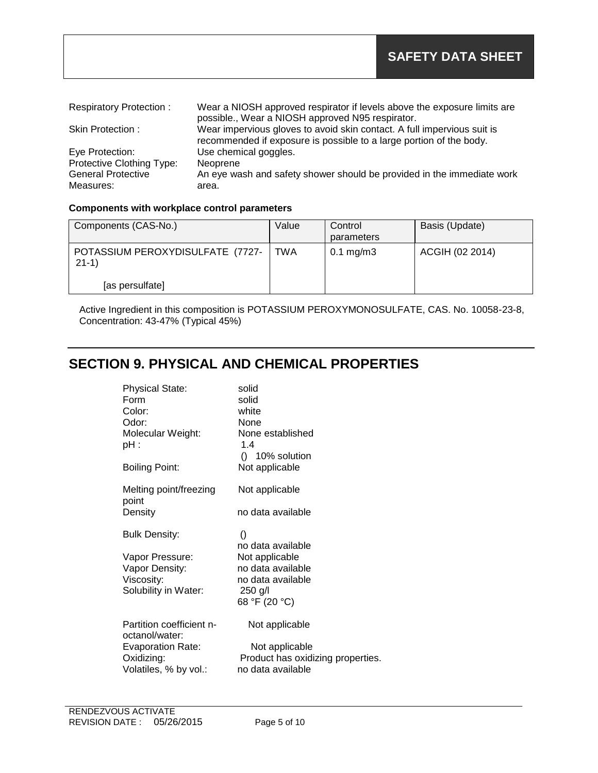| <b>Respiratory Protection:</b> | Wear a NIOSH approved respirator if levels above the exposure limits are |
|--------------------------------|--------------------------------------------------------------------------|
|                                | possible., Wear a NIOSH approved N95 respirator.                         |
| Skin Protection:               | Wear impervious gloves to avoid skin contact. A full impervious suit is  |
|                                | recommended if exposure is possible to a large portion of the body.      |
| Eye Protection:                | Use chemical goggles.                                                    |
| Protective Clothing Type:      | Neoprene                                                                 |
| <b>General Protective</b>      | An eye wash and safety shower should be provided in the immediate work   |
| Measures:                      | area.                                                                    |

### **Components with workplace control parameters**

| Components (CAS-No.)                        | Value | Control<br>parameters  | Basis (Update)  |
|---------------------------------------------|-------|------------------------|-----------------|
| POTASSIUM PEROXYDISULFATE (7727-<br>$21-1)$ | TWA   | $0.1 \,\mathrm{mg/m3}$ | ACGIH (02 2014) |
| [as persulfate]                             |       |                        |                 |

Active Ingredient in this composition is POTASSIUM PEROXYMONOSULFATE, CAS. No. 10058-23-8, Concentration: 43-47% (Typical 45%)

# **SECTION 9. PHYSICAL AND CHEMICAL PROPERTIES**

| <b>Physical State:</b><br>Form<br>Color:<br>Odor:<br>Molecular Weight:<br>pH : | solid<br>solid<br>white<br>None<br>None established<br>1.4<br>$()$ 10% solution |
|--------------------------------------------------------------------------------|---------------------------------------------------------------------------------|
| <b>Boiling Point:</b>                                                          | Not applicable                                                                  |
| Melting point/freezing<br>point                                                | Not applicable                                                                  |
| Density                                                                        | no data available                                                               |
| <b>Bulk Density:</b>                                                           | $\left( \right)$<br>no data available                                           |
| Vapor Pressure:                                                                | Not applicable                                                                  |
| Vapor Density:                                                                 | no data available                                                               |
| Viscosity:                                                                     | no data available                                                               |
| Solubility in Water:                                                           | 250 g/l                                                                         |
|                                                                                | 68 °F (20 °C)                                                                   |
| Partition coefficient n-<br>octanol/water:                                     | Not applicable                                                                  |
| <b>Evaporation Rate:</b>                                                       | Not applicable                                                                  |
| Oxidizing:                                                                     | Product has oxidizing properties.                                               |
| Volatiles, % by vol.:                                                          | no data available                                                               |
|                                                                                |                                                                                 |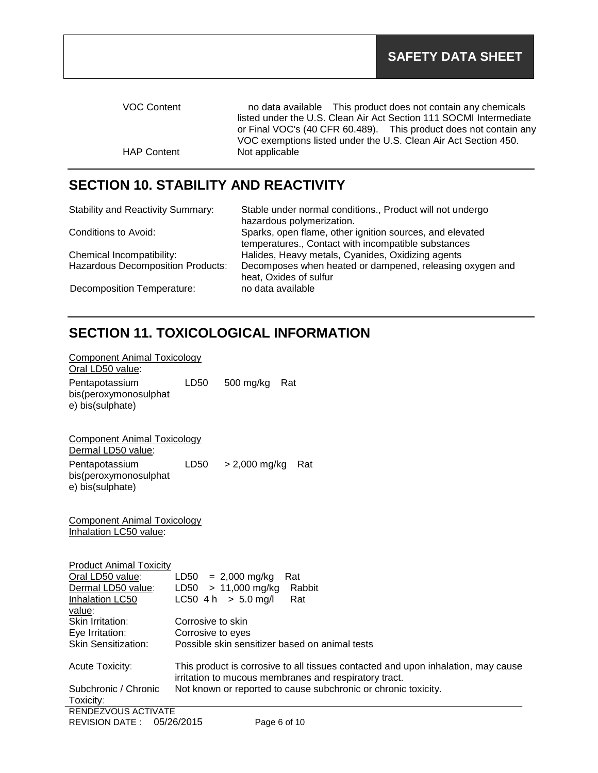| no data available This product does not contain any chemicals      | <b>VOC Content</b> |
|--------------------------------------------------------------------|--------------------|
| listed under the U.S. Clean Air Act Section 111 SOCMI Intermediate |                    |
| or Final VOC's (40 CFR 60.489). This product does not contain any  |                    |
| VOC exemptions listed under the U.S. Clean Air Act Section 450.    |                    |
|                                                                    | <b>HAP Content</b> |
|                                                                    |                    |

# **SECTION 10. STABILITY AND REACTIVITY**

| Stable under normal conditions., Product will not undergo |
|-----------------------------------------------------------|
| hazardous polymerization.                                 |
| Sparks, open flame, other ignition sources, and elevated  |
| temperatures., Contact with incompatible substances       |
| Halides, Heavy metals, Cyanides, Oxidizing agents         |
| Decomposes when heated or dampened, releasing oxygen and  |
| heat, Oxides of sulfur                                    |
| no data available                                         |
|                                                           |

# **SECTION 11. TOXICOLOGICAL INFORMATION**

| <b>Component Animal Toxicology</b><br>Oral LD50 value:                                                                  |                                                                                                                                            |
|-------------------------------------------------------------------------------------------------------------------------|--------------------------------------------------------------------------------------------------------------------------------------------|
| Pentapotassium<br>bis(peroxymonosulphat<br>e) bis(sulphate)                                                             | LD50<br>500 mg/kg<br>Rat                                                                                                                   |
| <b>Component Animal Toxicology</b><br>Dermal LD50 value:<br>Pentapotassium<br>bis(peroxymonosulphat<br>e) bis(sulphate) | $> 2,000$ mg/kg<br>LD50<br>Rat                                                                                                             |
| <b>Component Animal Toxicology</b><br>Inhalation LC50 value:                                                            |                                                                                                                                            |
| <b>Product Animal Toxicity</b>                                                                                          |                                                                                                                                            |
| Oral LD50 value:                                                                                                        | $LD50 = 2,000$ mg/kg<br>Rat                                                                                                                |
| Dermal LD50 value:                                                                                                      | $LD50 > 11,000$ mg/kg<br>Rabbit                                                                                                            |
| Inhalation LC50                                                                                                         | $LC50$ 4 h $> 5.0$ mg/l<br>Rat                                                                                                             |
| value:<br>Skin Irritation:                                                                                              | Corrosive to skin                                                                                                                          |
| Eye Irritation:                                                                                                         | Corrosive to eyes                                                                                                                          |
| <b>Skin Sensitization:</b>                                                                                              | Possible skin sensitizer based on animal tests                                                                                             |
|                                                                                                                         |                                                                                                                                            |
| Acute Toxicity:                                                                                                         | This product is corrosive to all tissues contacted and upon inhalation, may cause<br>irritation to mucous membranes and respiratory tract. |
| Subchronic / Chronic<br>Toxicity:                                                                                       | Not known or reported to cause subchronic or chronic toxicity.                                                                             |
| RENDEZVOUS ACTIVATE                                                                                                     |                                                                                                                                            |
| <b>REVISION DATE:</b>                                                                                                   | 05/26/2015<br>Page 6 of 10                                                                                                                 |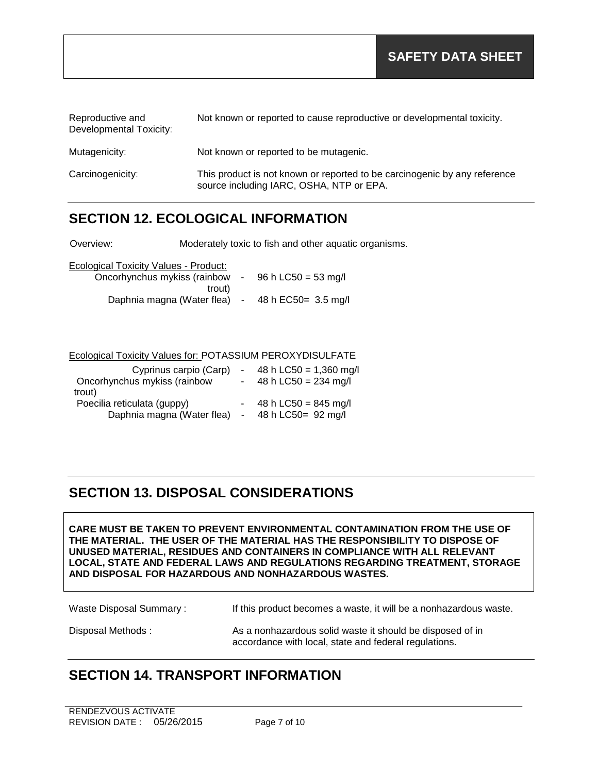| Reproductive and<br>Developmental Toxicity: | Not known or reported to cause reproductive or developmental toxicity.                                                |
|---------------------------------------------|-----------------------------------------------------------------------------------------------------------------------|
| Mutagenicity:                               | Not known or reported to be mutagenic.                                                                                |
| Carcinogenicity:                            | This product is not known or reported to be carcinogenic by any reference<br>source including IARC, OSHA, NTP or EPA. |

## **SECTION 12. ECOLOGICAL INFORMATION**

Overview: Moderately toxic to fish and other aquatic organisms.

| Ecological Toxicity Values - Product: |
|---------------------------------------|
|---------------------------------------|

| Oncorhynchus mykiss (rainbow | $\sim$ | 96 h LC50 = 53 mg/l  |
|------------------------------|--------|----------------------|
| trout)                       |        |                      |
| Daphnia magna (Water flea)   | $\sim$ | 48 h EC50 = 3.5 mg/l |

### Ecological Toxicity Values for: POTASSIUM PEROXYDISULFATE

| Cyprinus carpio (Carp)                                              |  | 48 h LC50 = 1,360 mg/l                               |
|---------------------------------------------------------------------|--|------------------------------------------------------|
| Oncorhynchus mykiss (rainbow                                        |  | 48 h LC50 = $234$ mg/l                               |
| trout)<br>Poecilia reticulata (guppy)<br>Daphnia magna (Water flea) |  | 48 h LC50 = $845 \text{ mg/l}$<br>48 h LC50= 92 mg/l |

## **SECTION 13. DISPOSAL CONSIDERATIONS**

**CARE MUST BE TAKEN TO PREVENT ENVIRONMENTAL CONTAMINATION FROM THE USE OF THE MATERIAL. THE USER OF THE MATERIAL HAS THE RESPONSIBILITY TO DISPOSE OF UNUSED MATERIAL, RESIDUES AND CONTAINERS IN COMPLIANCE WITH ALL RELEVANT LOCAL, STATE AND FEDERAL LAWS AND REGULATIONS REGARDING TREATMENT, STORAGE AND DISPOSAL FOR HAZARDOUS AND NONHAZARDOUS WASTES.** 

Waste Disposal Summary : If this product becomes a waste, it will be a nonhazardous waste.

Disposal Methods : As a nonhazardous solid waste it should be disposed of in accordance with local, state and federal regulations.

## **SECTION 14. TRANSPORT INFORMATION**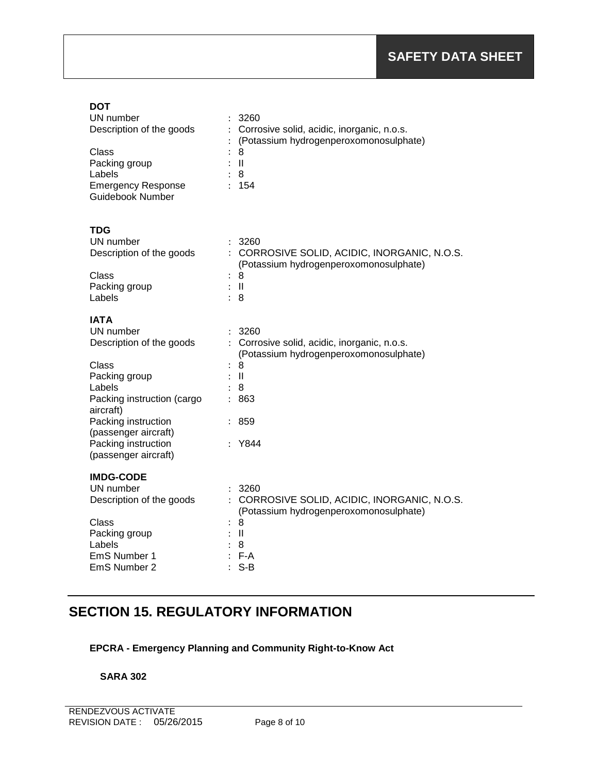### **DOT**

| UN number<br>Description of the goods<br>Class<br>Packing group<br>Labels<br><b>Emergency Response</b><br>Guidebook Number | 3260<br>Corrosive solid, acidic, inorganic, n.o.s.<br>(Potassium hydrogenperoxomonosulphate)<br>8<br>Ш<br>8<br>154 |
|----------------------------------------------------------------------------------------------------------------------------|--------------------------------------------------------------------------------------------------------------------|
| TDG                                                                                                                        |                                                                                                                    |
| UN number<br>Description of the goods                                                                                      | 3260<br>CORROSIVE SOLID, ACIDIC, INORGANIC, N.O.S.<br>(Potassium hydrogenperoxomonosulphate)                       |
| Class                                                                                                                      | 8<br>÷                                                                                                             |
| Packing group                                                                                                              | H                                                                                                                  |
| Labels                                                                                                                     | 8                                                                                                                  |
| IATA                                                                                                                       |                                                                                                                    |
| UN number                                                                                                                  | 3260                                                                                                               |
| Description of the goods                                                                                                   | Corrosive solid, acidic, inorganic, n.o.s.<br>(Potassium hydrogenperoxomonosulphate)                               |
| Class                                                                                                                      | 8                                                                                                                  |
| Packing group                                                                                                              | Ш                                                                                                                  |
| Labels                                                                                                                     | 8                                                                                                                  |
| Packing instruction (cargo<br>aircraft)                                                                                    | 863                                                                                                                |
| Packing instruction<br>(passenger aircraft)                                                                                | 859                                                                                                                |
| Packing instruction<br>(passenger aircraft)                                                                                | Y844                                                                                                               |
| <b>IMDG-CODE</b>                                                                                                           |                                                                                                                    |
| UN number                                                                                                                  | 3260                                                                                                               |
| Description of the goods                                                                                                   | CORROSIVE SOLID, ACIDIC, INORGANIC, N.O.S.<br>(Potassium hydrogenperoxomonosulphate)                               |
| Class                                                                                                                      | 8                                                                                                                  |
| Packing group                                                                                                              | $\mathbf{I}$                                                                                                       |
| Labels                                                                                                                     | 8                                                                                                                  |
| EmS Number 1                                                                                                               | F-A                                                                                                                |
| EmS Number 2                                                                                                               | $S-B$                                                                                                              |

# **SECTION 15. REGULATORY INFORMATION**

## **EPCRA - Emergency Planning and Community Right-to-Know Act**

### **SARA 302**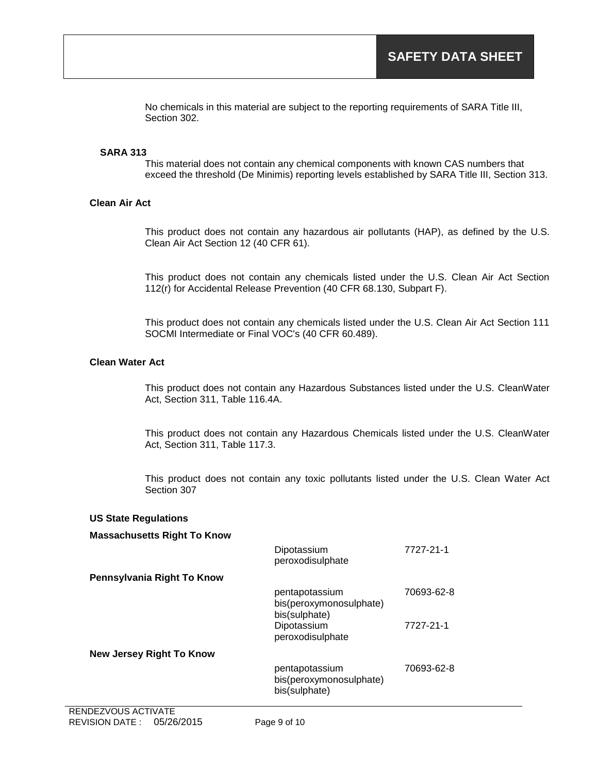No chemicals in this material are subject to the reporting requirements of SARA Title III, Section 302.

#### **SARA 313**

This material does not contain any chemical components with known CAS numbers that exceed the threshold (De Minimis) reporting levels established by SARA Title III, Section 313.

#### **Clean Air Act**

This product does not contain any hazardous air pollutants (HAP), as defined by the U.S. Clean Air Act Section 12 (40 CFR 61).

This product does not contain any chemicals listed under the U.S. Clean Air Act Section 112(r) for Accidental Release Prevention (40 CFR 68.130, Subpart F).

This product does not contain any chemicals listed under the U.S. Clean Air Act Section 111 SOCMI Intermediate or Final VOC's (40 CFR 60.489).

### **Clean Water Act**

This product does not contain any Hazardous Substances listed under the U.S. CleanWater Act, Section 311, Table 116.4A.

This product does not contain any Hazardous Chemicals listed under the U.S. CleanWater Act, Section 311, Table 117.3.

This product does not contain any toxic pollutants listed under the U.S. Clean Water Act Section 307

#### **US State Regulations**

#### **Massachusetts Right To Know**

|                                 | Dipotassium<br>peroxodisulphate                            | 7727-21-1  |
|---------------------------------|------------------------------------------------------------|------------|
| Pennsylvania Right To Know      |                                                            |            |
|                                 | pentapotassium<br>bis(peroxymonosulphate)<br>bis(sulphate) | 70693-62-8 |
|                                 | Dipotassium<br>peroxodisulphate                            | 7727-21-1  |
| <b>New Jersey Right To Know</b> |                                                            |            |
|                                 | pentapotassium<br>bis(peroxymonosulphate)<br>bis(sulphate) | 70693-62-8 |